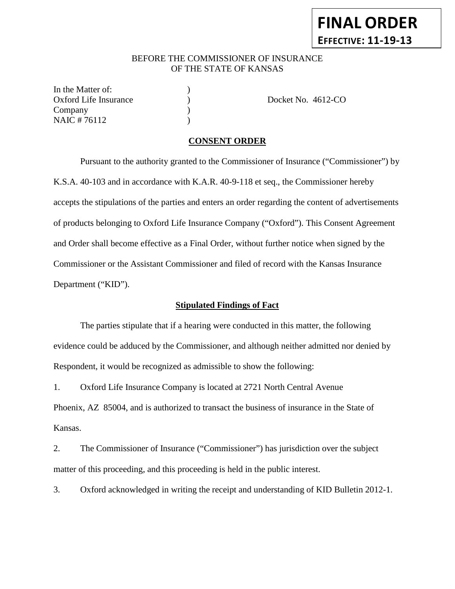# BEFORE THE COMMISSIONER OF INSURANCE OF THE STATE OF KANSAS

In the Matter of: Oxford Life Insurance (a) Docket No. 4612-CO Company (1) NAIC # 76112 )

### **CONSENT ORDER**

Pursuant to the authority granted to the Commissioner of Insurance ("Commissioner") by K.S.A. 40-103 and in accordance with K.A.R. 40-9-118 et seq., the Commissioner hereby accepts the stipulations of the parties and enters an order regarding the content of advertisements of products belonging to Oxford Life Insurance Company ("Oxford"). This Consent Agreement and Order shall become effective as a Final Order, without further notice when signed by the Commissioner or the Assistant Commissioner and filed of record with the Kansas Insurance Department ("KID").

### **Stipulated Findings of Fact**

The parties stipulate that if a hearing were conducted in this matter, the following evidence could be adduced by the Commissioner, and although neither admitted nor denied by Respondent, it would be recognized as admissible to show the following:

1. Oxford Life Insurance Company is located at 2721 North Central Avenue Phoenix, AZ 85004, and is authorized to transact the business of insurance in the State of Kansas.

2. The Commissioner of Insurance ("Commissioner") has jurisdiction over the subject matter of this proceeding, and this proceeding is held in the public interest.

3. Oxford acknowledged in writing the receipt and understanding of KID Bulletin 2012-1.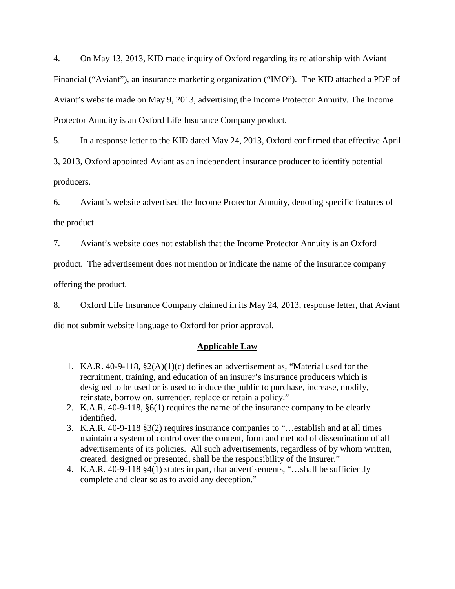4. On May 13, 2013, KID made inquiry of Oxford regarding its relationship with Aviant Financial ("Aviant"), an insurance marketing organization ("IMO"). The KID attached a PDF of Aviant's website made on May 9, 2013, advertising the Income Protector Annuity. The Income Protector Annuity is an Oxford Life Insurance Company product.

5. In a response letter to the KID dated May 24, 2013, Oxford confirmed that effective April

3, 2013, Oxford appointed Aviant as an independent insurance producer to identify potential producers.

6. Aviant's website advertised the Income Protector Annuity, denoting specific features of the product.

7. Aviant's website does not establish that the Income Protector Annuity is an Oxford

product. The advertisement does not mention or indicate the name of the insurance company

offering the product.

8. Oxford Life Insurance Company claimed in its May 24, 2013, response letter, that Aviant did not submit website language to Oxford for prior approval.

### **Applicable Law**

- 1. KA.R. 40-9-118, §2(A)(1)(c) defines an advertisement as, "Material used for the recruitment, training, and education of an insurer's insurance producers which is designed to be used or is used to induce the public to purchase, increase, modify, reinstate, borrow on, surrender, replace or retain a policy."
- 2. K.A.R. 40-9-118, §6(1) requires the name of the insurance company to be clearly identified.
- 3. K.A.R. 40-9-118 §3(2) requires insurance companies to "…establish and at all times maintain a system of control over the content, form and method of dissemination of all advertisements of its policies. All such advertisements, regardless of by whom written, created, designed or presented, shall be the responsibility of the insurer."
- 4. K.A.R. 40-9-118 §4(1) states in part, that advertisements, "…shall be sufficiently complete and clear so as to avoid any deception."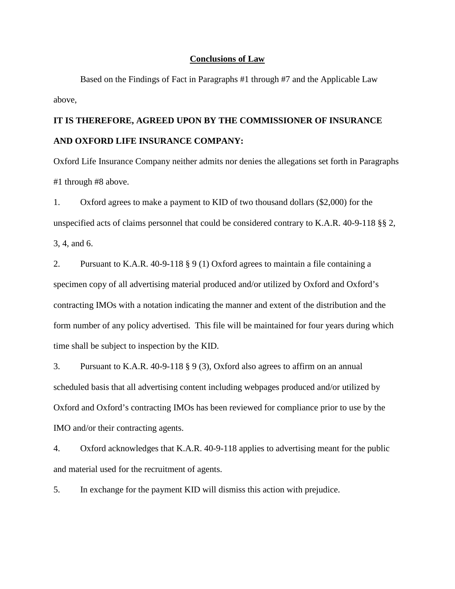#### **Conclusions of Law**

Based on the Findings of Fact in Paragraphs #1 through #7 and the Applicable Law above,

# **IT IS THEREFORE, AGREED UPON BY THE COMMISSIONER OF INSURANCE AND OXFORD LIFE INSURANCE COMPANY:**

Oxford Life Insurance Company neither admits nor denies the allegations set forth in Paragraphs #1 through #8 above.

1. Oxford agrees to make a payment to KID of two thousand dollars (\$2,000) for the unspecified acts of claims personnel that could be considered contrary to K.A.R. 40-9-118 §§ 2,

3, 4, and 6.

2. Pursuant to K.A.R. 40-9-118 § 9 (1) Oxford agrees to maintain a file containing a specimen copy of all advertising material produced and/or utilized by Oxford and Oxford's contracting IMOs with a notation indicating the manner and extent of the distribution and the form number of any policy advertised. This file will be maintained for four years during which time shall be subject to inspection by the KID.

3. Pursuant to K.A.R. 40-9-118 § 9 (3), Oxford also agrees to affirm on an annual scheduled basis that all advertising content including webpages produced and/or utilized by Oxford and Oxford's contracting IMOs has been reviewed for compliance prior to use by the IMO and/or their contracting agents.

4. Oxford acknowledges that K.A.R. 40-9-118 applies to advertising meant for the public and material used for the recruitment of agents.

5. In exchange for the payment KID will dismiss this action with prejudice.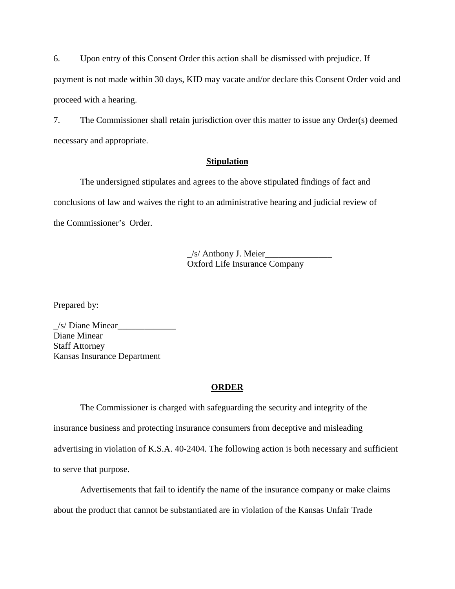6. Upon entry of this Consent Order this action shall be dismissed with prejudice. If payment is not made within 30 days, KID may vacate and/or declare this Consent Order void and proceed with a hearing.

7. The Commissioner shall retain jurisdiction over this matter to issue any Order(s) deemed necessary and appropriate.

### **Stipulation**

The undersigned stipulates and agrees to the above stipulated findings of fact and conclusions of law and waives the right to an administrative hearing and judicial review of the Commissioner's Order.

> $\angle$ s/ Anthony J. Meier $\angle$ Oxford Life Insurance Company

Prepared by:

 $\angle$ s/ Diane Minear $\angle$ Diane Minear Staff Attorney Kansas Insurance Department

### **ORDER**

The Commissioner is charged with safeguarding the security and integrity of the insurance business and protecting insurance consumers from deceptive and misleading advertising in violation of K.S.A. 40-2404. The following action is both necessary and sufficient to serve that purpose.

Advertisements that fail to identify the name of the insurance company or make claims about the product that cannot be substantiated are in violation of the Kansas Unfair Trade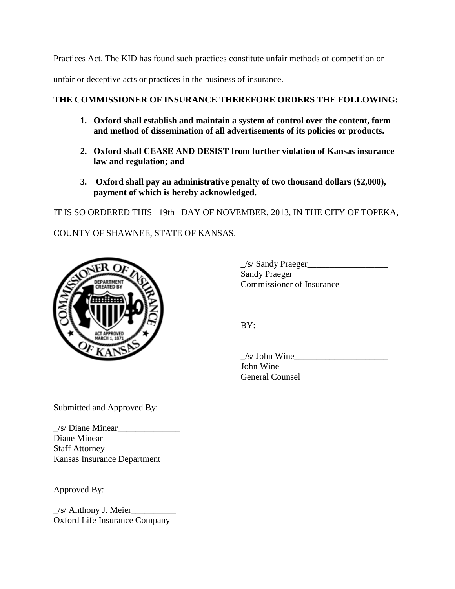Practices Act. The KID has found such practices constitute unfair methods of competition or unfair or deceptive acts or practices in the business of insurance.

# **THE COMMISSIONER OF INSURANCE THEREFORE ORDERS THE FOLLOWING:**

- **1. Oxford shall establish and maintain a system of control over the content, form and method of dissemination of all advertisements of its policies or products.**
- **2. Oxford shall CEASE AND DESIST from further violation of Kansas insurance law and regulation; and**
- **3. Oxford shall pay an administrative penalty of two thousand dollars (\$2,000), payment of which is hereby acknowledged.**

IT IS SO ORDERED THIS \_19th\_ DAY OF NOVEMBER, 2013, IN THE CITY OF TOPEKA,

COUNTY OF SHAWNEE, STATE OF KANSAS.



\_/s/ Sandy Praeger\_\_\_\_\_\_\_\_\_\_\_\_\_\_\_\_\_\_ Sandy Praeger Commissioner of Insurance

BY:

 $/s/John$  Wine John Wine General Counsel

Submitted and Approved By:

 $\angle$ s/ Diane Minear $\angle$ Diane Minear Staff Attorney Kansas Insurance Department

Approved By:

 $\angle$ s/ Anthony J. Meier $\angle$ Oxford Life Insurance Company